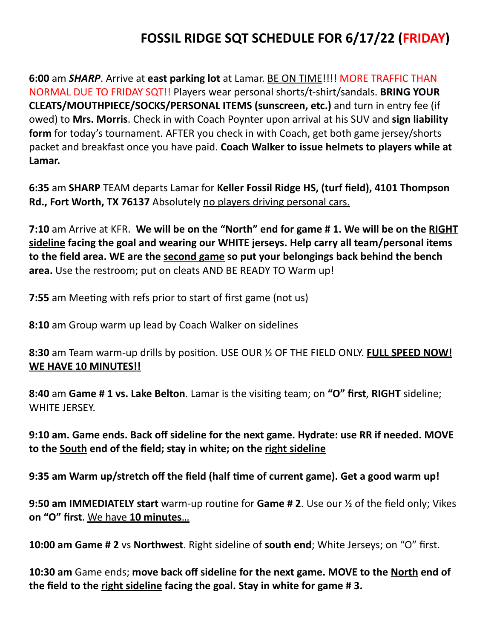## **FOSSIL RIDGE SQT SCHEDULE FOR 6/17/22 (FRIDAY)**

**6:00** am *SHARP*. Arrive at east parking lot at Lamar. BE ON TIME!!!! MORE TRAFFIC THAN NORMAL DUE TO FRIDAY SQT!! Players wear personal shorts/t-shirt/sandals. **BRING YOUR CLEATS/MOUTHPIECE/SOCKS/PERSONAL ITEMS (sunscreen, etc.)** and turn in entry fee (if owed) to Mrs. Morris. Check in with Coach Poynter upon arrival at his SUV and sign liability **form** for today's tournament. AFTER you check in with Coach, get both game jersey/shorts packet and breakfast once you have paid. **Coach Walker to issue helmets to players while at** Lamar.

**6:35** am **SHARP** TEAM departs Lamar for **Keller Fossil Ridge HS, (turf field), 4101 Thompson Rd., Fort Worth, TX 76137** Absolutely no players driving personal cars.

**7:10** am Arrive at KFR. We will be on the "North" end for game # 1. We will be on the RIGHT sideline facing the goal and wearing our WHITE jerseys. Help carry all team/personal items to the field area. WE are the second game so put your belongings back behind the bench **area.** Use the restroom; put on cleats AND BE READY TO Warm up!

**7:55** am Meeting with refs prior to start of first game (not us)

**8:10** am Group warm up lead by Coach Walker on sidelines

**8:30** am Team warm-up drills by position. USE OUR % OF THE FIELD ONLY. FULL SPEED NOW! WE HAVE 10 MINUTES!!

**8:40** am **Game # 1 vs. Lake Belton**. Lamar is the visiting team; on "O" first, RIGHT sideline; WHITE **JERSEY.** 

**9:10 am. Game ends. Back off sideline for the next game. Hydrate: use RR if needed. MOVE** to the South end of the field; stay in white; on the right sideline

9:35 am Warm up/stretch off the field (half time of current game). Get a good warm up!

**9:50 am IMMEDIATELY start** warm-up routine for **Game # 2**. Use our  $\frac{1}{2}$  of the field only; Vikes **on "O" first**. We have **10 minutes**…

**10:00 am Game # 2** vs Northwest. Right sideline of south end; White Jerseys; on "O" first.

**10:30** am Game ends; move back off sideline for the next game. MOVE to the North end of the field to the right sideline facing the goal. Stay in white for game # 3.